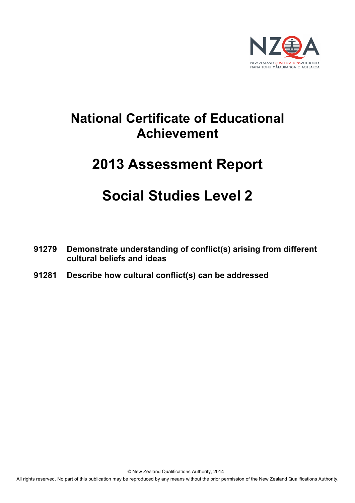

# **National Certificate of Educational Achievement**

# **2013 Assessment Report**

# **Social Studies Level 2**

- **91279 Demonstrate understanding of conflict(s) arising from different cultural beliefs and ideas**
- **91281 Describe how cultural conflict(s) can be addressed**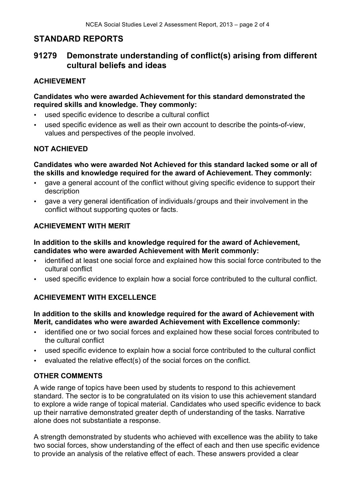# **STANDARD REPORTS**

# **91279 Demonstrate understanding of conflict(s) arising from different cultural beliefs and ideas**

# **ACHIEVEMENT**

#### **Candidates who were awarded Achievement for this standard demonstrated the required skills and knowledge. They commonly:**

- used specific evidence to describe a cultural conflict
- used specific evidence as well as their own account to describe the points-of-view, values and perspectives of the people involved.

## **NOT ACHIEVED**

#### **Candidates who were awarded Not Achieved for this standard lacked some or all of the skills and knowledge required for the award of Achievement. They commonly:**

- gave a general account of the conflict without giving specific evidence to support their description
- gave a very general identification of individuals/groups and their involvement in the conflict without supporting quotes or facts.

## **ACHIEVEMENT WITH MERIT**

#### **In addition to the skills and knowledge required for the award of Achievement, candidates who were awarded Achievement with Merit commonly:**

- identified at least one social force and explained how this social force contributed to the cultural conflict
- used specific evidence to explain how a social force contributed to the cultural conflict.

# **ACHIEVEMENT WITH EXCELLENCE**

#### **In addition to the skills and knowledge required for the award of Achievement with Merit, candidates who were awarded Achievement with Excellence commonly:**

- identified one or two social forces and explained how these social forces contributed to the cultural conflict
- used specific evidence to explain how a social force contributed to the cultural conflict
- evaluated the relative effect(s) of the social forces on the conflict.

### **OTHER COMMENTS**

A wide range of topics have been used by students to respond to this achievement standard. The sector is to be congratulated on its vision to use this achievement standard to explore a wide range of topical material. Candidates who used specific evidence to back up their narrative demonstrated greater depth of understanding of the tasks. Narrative alone does not substantiate a response.

A strength demonstrated by students who achieved with excellence was the ability to take two social forces, show understanding of the effect of each and then use specific evidence to provide an analysis of the relative effect of each. These answers provided a clear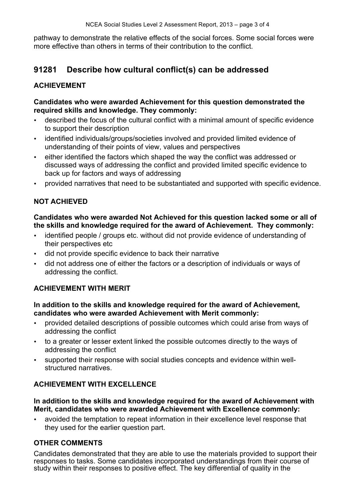pathway to demonstrate the relative effects of the social forces. Some social forces were more effective than others in terms of their contribution to the conflict.

# **91281 Describe how cultural conflict(s) can be addressed**

## **ACHIEVEMENT**

#### **Candidates who were awarded Achievement for this question demonstrated the required skills and knowledge. They commonly:**

- described the focus of the cultural conflict with a minimal amount of specific evidence to support their description
- identified individuals/groups/societies involved and provided limited evidence of understanding of their points of view, values and perspectives
- either identified the factors which shaped the way the conflict was addressed or discussed ways of addressing the conflict and provided limited specific evidence to back up for factors and ways of addressing
- provided narratives that need to be substantiated and supported with specific evidence.

### **NOT ACHIEVED**

#### **Candidates who were awarded Not Achieved for this question lacked some or all of the skills and knowledge required for the award of Achievement. They commonly:**

- identified people / groups etc. without did not provide evidence of understanding of their perspectives etc
- did not provide specific evidence to back their narrative
- did not address one of either the factors or a description of individuals or ways of addressing the conflict.

### **ACHIEVEMENT WITH MERIT**

#### **In addition to the skills and knowledge required for the award of Achievement, candidates who were awarded Achievement with Merit commonly:**

- provided detailed descriptions of possible outcomes which could arise from ways of addressing the conflict
- to a greater or lesser extent linked the possible outcomes directly to the ways of addressing the conflict
- supported their response with social studies concepts and evidence within wellstructured narratives.

### **ACHIEVEMENT WITH EXCELLENCE**

#### **In addition to the skills and knowledge required for the award of Achievement with Merit, candidates who were awarded Achievement with Excellence commonly:**

• avoided the temptation to repeat information in their excellence level response that they used for the earlier question part.

### **OTHER COMMENTS**

Candidates demonstrated that they are able to use the materials provided to support their responses to tasks. Some candidates incorporated understandings from their course of study within their responses to positive effect. The key differential of quality in the